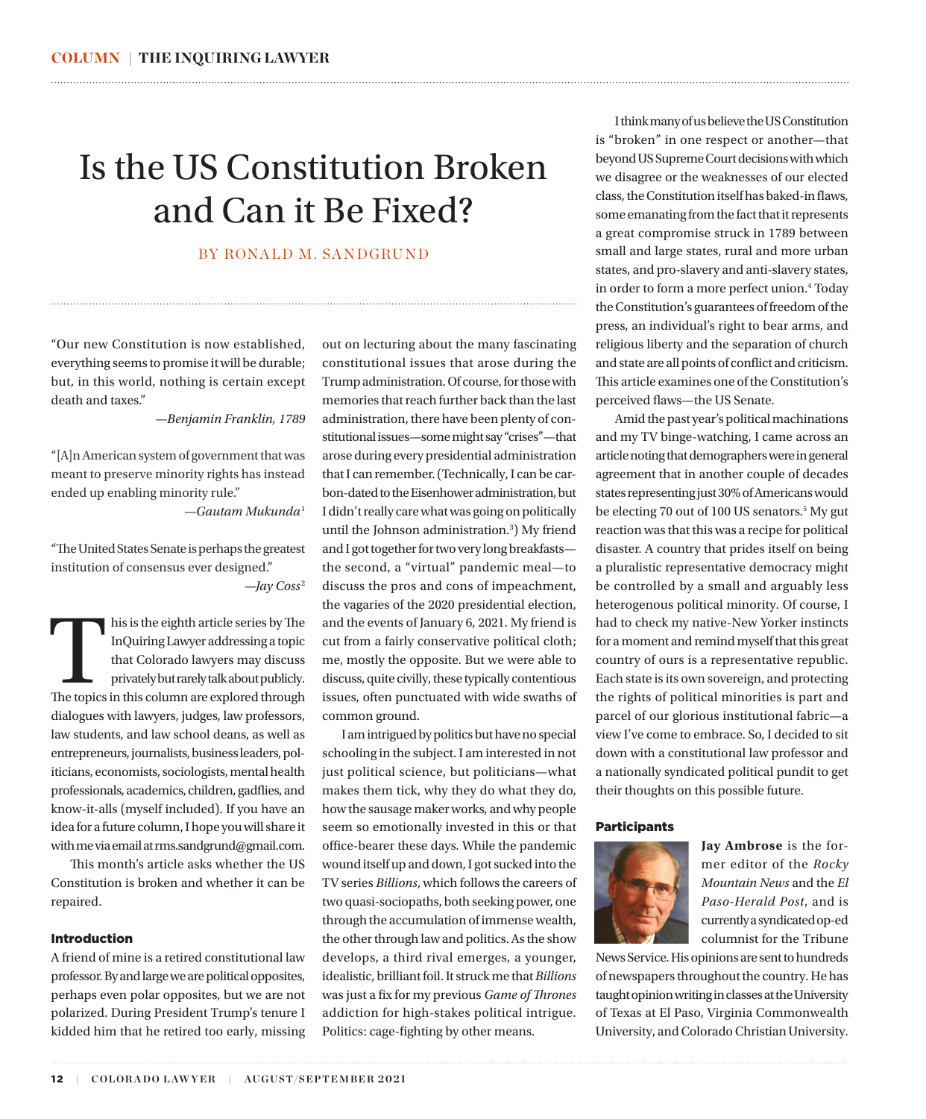## Is the US Constitution Broken and Can it Be Fixed?

#### BY RONALD M. SANDGRUND

"Our new Constitution is now established, everything seems to promise it will be durable; but, in this world, nothing is certain except death and taxes."

*—Benjamin Franklin, 1789*

"[A]n American system of government that was meant to preserve minority rights has instead ended up enabling minority rule."

*—Gautam Mukunda*[1](#page-4-0)

"The United States Senate is perhaps the greatest institution of consensus ever designed." *—Jay Coss* [2](#page-4-0)

This is the eighth article series by The<br>
InQuiring Lawyer addressing a topic<br>
that Colorado lawyers may discuss<br>
privately but rarely talk about publicly.<br>
The topics in this column are explored through InQuiring Lawyer addressing a topic that Colorado lawyers may discuss privately but rarely talk about publicly. dialogues with lawyers, judges, law professors, law students, and law school deans, as well as entrepreneurs, journalists, business leaders, politicians, economists, sociologists, mental health professionals, academics, children, gadflies, and know-it-alls (myself included). If you have an idea for a future column, I hope you will share it with me via email at rms.sandgrund@gmail.com.

This month's article asks whether the US Constitution is broken and whether it can be repaired.

#### Introduction

A friend of mine is a retired constitutional law professor. By and large we are political opposites, perhaps even polar opposites, but we are not polarized. During President Trump's tenure I kidded him that he retired too early, missing out on lecturing about the many fascinating constitutional issues that arose during the Trump administration. Of course, for those with memories that reach further back than the last administration, there have been plenty of constitutional issues—some might say "crises"—that arose during every presidential administration that I can remember. (Technically, I can be carbon-dated to the Eisenhower administration, but I didn't really care what was going on politically until the Johnson administration.[3](#page-4-0) ) My friend and I got together for two very long breakfasts the second, a "virtual" pandemic meal—to discuss the pros and cons of impeachment, the vagaries of the 2020 presidential election, and the events of January 6, 2021. My friend is cut from a fairly conservative political cloth; me, mostly the opposite. But we were able to discuss, quite civilly, these typically contentious issues, often punctuated with wide swaths of common ground.

<span id="page-0-0"></span>

I am intrigued by politics but have no special schooling in the subject. I am interested in not just political science, but politicians—what makes them tick, why they do what they do, how the sausage maker works, and why people seem so emotionally invested in this or that office-bearer these days. While the pandemic wound itself up and down, I got sucked into the TV series *Billions*, which follows the careers of two quasi-sociopaths, both seeking power, one through the accumulation of immense wealth, the other through law and politics. As the show develops, a third rival emerges, a younger, idealistic, brilliant foil. It struck me that *Billions* was just a fix for my previous *Game of Thrones* addiction for high-stakes political intrigue. Politics: cage-fighting by other means.

I think many of us believe the US Constitution is "broken" in one respect or another—that beyond US Supreme Court decisions with which we disagree or the weaknesses of our elected class, the Constitution itself has baked-in flaws, some emanating from the fact that it represents a great compromise struck in 1789 between small and large states, rural and more urban states, and pro-slavery and anti-slavery states, in order to form a more perfect union.<sup>[4](#page-4-0)</sup> Today the Constitution's guarantees of freedom of the press, an individual's right to bear arms, and religious liberty and the separation of church and state are all points of conflict and criticism. This article examines one of the Constitution's perceived flaws—the US Senate.

Amid the past year's political machinations and my TV binge-watching, I came across an article noting that demographers were in general agreement that in another couple of decades states representing just 30% of Americans would be electing 70 out of 100 US senators.<sup>5</sup> My gut reaction was that this was a recipe for political disaster. A country that prides itself on being a pluralistic representative democracy might be controlled by a small and arguably less heterogenous political minority. Of course, I had to check my native-New Yorker instincts for a moment and remind myself that this great country of ours is a representative republic. Each state is its own sovereign, and protecting the rights of political minorities is part and parcel of our glorious institutional fabric—a view I've come to embrace. So, I decided to sit down with a constitutional law professor and a nationally syndicated political pundit to get their thoughts on this possible future.

#### **Participants**



**Jay Ambrose** is the former editor of the *Rocky Mountain News* and the *El Paso-Herald Post*, and is currently a syndicated op-ed columnist for the Tribune

News Service. His opinions are sent to hundreds of newspapers throughout the country. He has taught opinion writing in classes at the University of Texas at El Paso, Virginia Commonwealth University, and Colorado Christian University.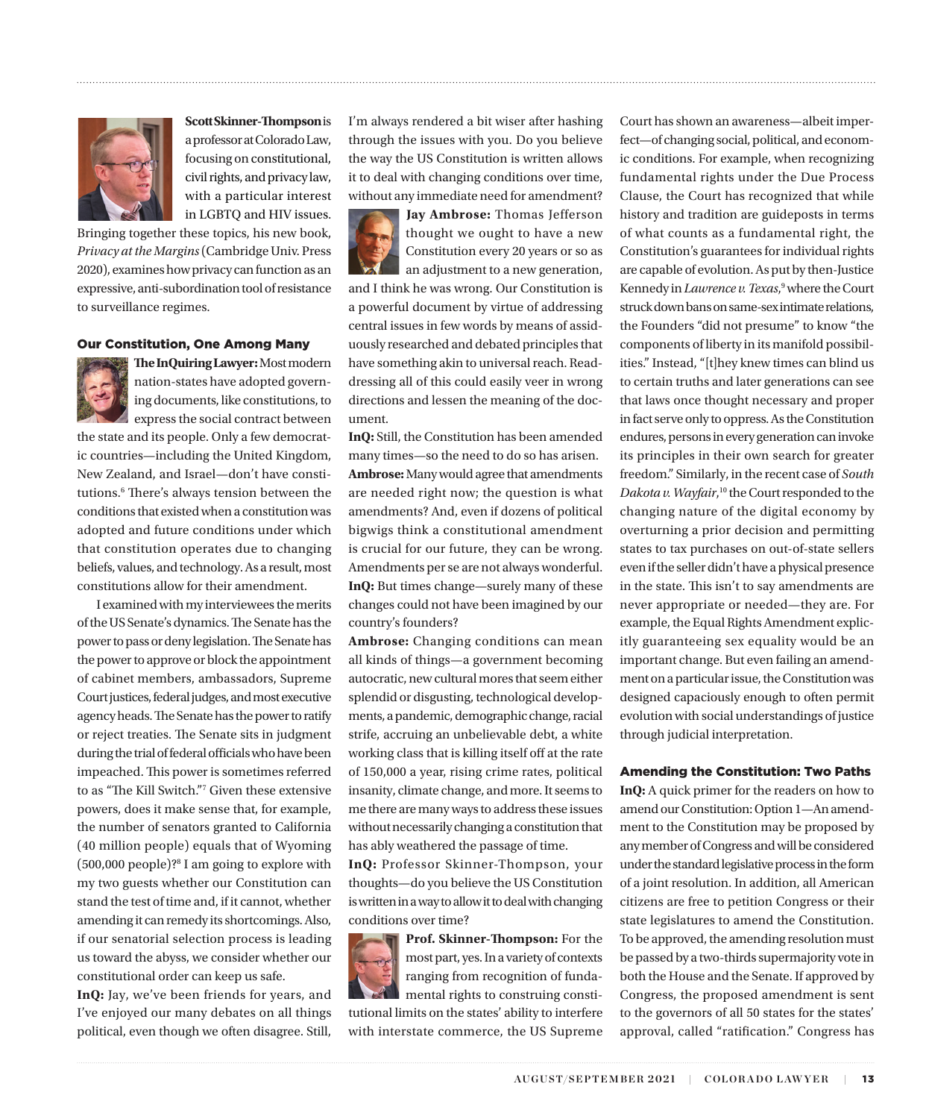

**Scott Skinner-Thompson** is a professor at Colorado Law, focusing on constitutional, civil rights, and privacy law, with a particular interest in LGBTQ and HIV issues.

Bringing together these topics, his new book, *Privacy at the Margins* (Cambridge Univ. Press 2020), examines how privacy can function as an expressive, anti-subordination tool of resistance to surveillance regimes.

#### Our Constitution, One Among Many



**The InQuiring Lawyer:** Most modern nation-states have adopted governing documents, like constitutions, to express the social contract between

the state and its people. Only a few democratic countries—including the United Kingdom, New Zealand, and Israel—don't have constitutions.[6](#page-4-0) There's always tension between the conditions that existed when a constitution was adopted and future conditions under which that constitution operates due to changing beliefs, values, and technology. As a result, most constitutions allow for their amendment.

I examined with my interviewees the merits of the US Senate's dynamics. The Senate has the power to pass or deny legislation. The Senate has the power to approve or block the appointment of cabinet members, ambassadors, Supreme Court justices, federal judges, and most executive agency heads. The Senate has the power to ratify or reject treaties. The Senate sits in judgment during the trial of federal officials who have been impeached. This power is sometimes referred to as "The Kill Switch."[7](#page-4-0) Given these extensive powers, does it make sense that, for example, the number of senators granted to California (40 million people) equals that of Wyoming (500,000 people)?[8](#page-4-0) I am going to explore with my two guests whether our Constitution can stand the test of time and, if it cannot, whether amending it can remedy its shortcomings. Also, if our senatorial selection process is leading us toward the abyss, we consider whether our constitutional order can keep us safe.

**InQ:** Jay, we've been friends for years, and I've enjoyed our many debates on all things political, even though we often disagree. Still, I'm always rendered a bit wiser after hashing through the issues with you. Do you believe the way the US Constitution is written allows it to deal with changing conditions over time, without any immediate need for amendment?

<span id="page-1-0"></span>



**Jay Ambrose:** Thomas Jefferson thought we ought to have a new Constitution every 20 years or so as an adjustment to a new generation,

and I think he was wrong. Our Constitution is a powerful document by virtue of addressing central issues in few words by means of assiduously researched and debated principles that have something akin to universal reach. Readdressing all of this could easily veer in wrong directions and lessen the meaning of the document.

**InQ:** Still, the Constitution has been amended many times—so the need to do so has arisen. **Ambrose:** Many would agree that amendments are needed right now; the question is what amendments? And, even if dozens of political bigwigs think a constitutional amendment is crucial for our future, they can be wrong. Amendments per se are not always wonderful. **InQ:** But times change—surely many of these changes could not have been imagined by our country's founders?

**Ambrose:** Changing conditions can mean all kinds of things—a government becoming autocratic, new cultural mores that seem either splendid or disgusting, technological developments, a pandemic, demographic change, racial strife, accruing an unbelievable debt, a white working class that is killing itself off at the rate of 150,000 a year, rising crime rates, political insanity, climate change, and more. It seems to me there are many ways to address these issues without necessarily changing a constitution that has ably weathered the passage of time.

**InQ:** Professor Skinner-Thompson, your thoughts—do you believe the US Constitution is written in a way to allow it to deal with changing conditions over time?

**Prof. Skinner-Thompson:** For the most part, yes. In a variety of contexts ranging from recognition of fundamental rights to construing consti-

tutional limits on the states' ability to interfere with interstate commerce, the US Supreme Court has shown an awareness—albeit imperfect—of changing social, political, and economic conditions. For example, when recognizing fundamental rights under the Due Process Clause, the Court has recognized that while history and tradition are guideposts in terms of what counts as a fundamental right, the Constitution's guarantees for individual rights are capable of evolution. As put by then-Justice Kennedy in *Lawrence v. Texas*,<sup>[9](#page-4-0)</sup> where the Court struck down bans on same-sex intimate relations, the Founders "did not presume" to know "the components of liberty in its manifold possibilities." Instead, "[t]hey knew times can blind us to certain truths and later generations can see that laws once thought necessary and proper in fact serve only to oppress. As the Constitution endures, persons in every generation can invoke its principles in their own search for greater freedom." Similarly, in the recent case of *South Dakota v. Wayfair*, [10](#page-4-0) the Court responded to the changing nature of the digital economy by overturning a prior decision and permitting states to tax purchases on out-of-state sellers even if the seller didn't have a physical presence in the state. This isn't to say amendments are never appropriate or needed—they are. For example, the Equal Rights Amendment explicitly guaranteeing sex equality would be an important change. But even failing an amendment on a particular issue, the Constitution was designed capaciously enough to often permit evolution with social understandings of justice through judicial interpretation.

#### Amending the Constitution: Two Paths

**InQ:** A quick primer for the readers on how to amend our Constitution: Option 1—An amendment to the Constitution may be proposed by any member of Congress and will be considered under the standard legislative process in the form of a joint resolution. In addition, all American citizens are free to petition Congress or their state legislatures to amend the Constitution. To be approved, the amending resolution must be passed by a two-thirds supermajority vote in both the House and the Senate. If approved by Congress, the proposed amendment is sent to the governors of all 50 states for the states' approval, called "ratification." Congress has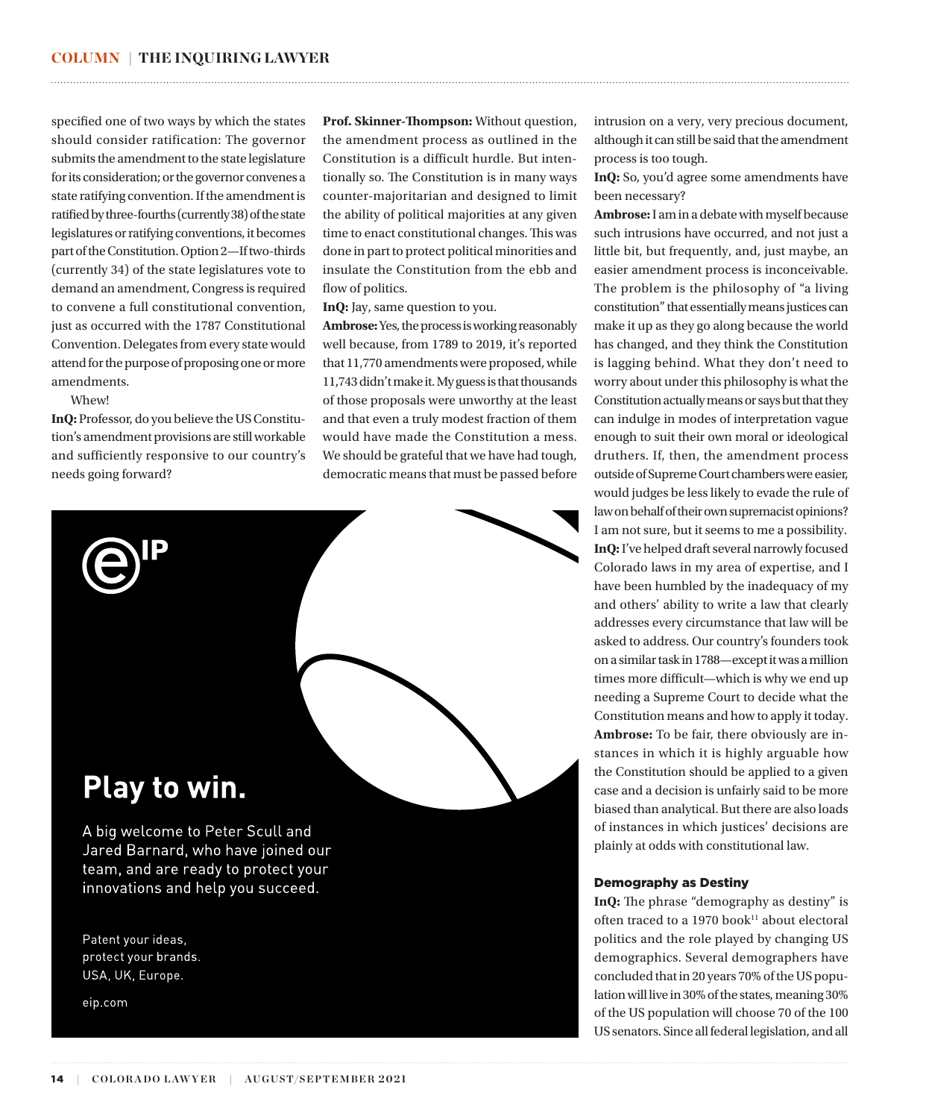specified one of two ways by which the states should consider ratification: The governor submits the amendment to the state legislature for its consideration; or the governor convenes a state ratifying convention. If the amendment is ratified by three-fourths (currently 38) of the state legislatures or ratifying conventions, it becomes part of the Constitution. Option 2—If two-thirds (currently 34) of the state legislatures vote to demand an amendment, Congress is required to convene a full constitutional convention, just as occurred with the 1787 [Constitutional](https://www.thoughtco.com/constitutional-convention-105426)  [Convention.](https://www.thoughtco.com/constitutional-convention-105426) Delegates from every state would attend for the purpose of proposing one or more amendments.

Whew!

**InQ:** Professor, do you believe the US Constitution's amendment provisions are still workable and sufficiently responsive to our country's needs going forward?

**Prof. Skinner-Thompson:** Without question, the amendment process as outlined in the Constitution is a difficult hurdle. But intentionally so. The Constitution is in many ways counter-majoritarian and designed to limit the ability of political majorities at any given time to enact constitutional changes. This was done in part to protect political minorities and insulate the Constitution from the ebb and flow of politics.

<span id="page-2-0"></span>

**InQ:** Jay, same question to you.

**Ambrose:** Yes, the process is working reasonably well because, from 1789 to 2019, it's reported that 11,770 amendments were proposed, while 11,743 didn't make it. My guess is that thousands of those proposals were unworthy at the least and that even a truly modest fraction of them would have made the Constitution a mess. We should be grateful that we have had tough, democratic means that must be passed before



Patent your ideas, protect your brands. USA, UK, Europe.

eip.com

intrusion on a very, very precious document, although it can still be said that the amendment process is too tough.

**InQ:** So, you'd agree some amendments have been necessary?

**Ambrose:** I am in a debate with myself because such intrusions have occurred, and not just a little bit, but frequently, and, just maybe, an easier amendment process is inconceivable. The problem is the philosophy of "a living constitution" that essentially means justices can make it up as they go along because the world has changed, and they think the Constitution is lagging behind. What they don't need to worry about under this philosophy is what the Constitution actually means or says but that they can indulge in modes of interpretation vague enough to suit their own moral or ideological druthers. If, then, the amendment process outside of Supreme Court chambers were easier, would judges be less likely to evade the rule of law on behalf of their own supremacist opinions? I am not sure, but it seems to me a possibility. **InQ:** I've helped draft several narrowly focused Colorado laws in my area of expertise, and I have been humbled by the inadequacy of my and others' ability to write a law that clearly addresses every circumstance that law will be asked to address. Our country's founders took on a similar task in 1788—except it was a million times more difficult—which is why we end up needing a Supreme Court to decide what the Constitution means and how to apply it today. **Ambrose:** To be fair, there obviously are instances in which it is highly arguable how the Constitution should be applied to a given case and a decision is unfairly said to be more biased than analytical. But there are also loads of instances in which justices' decisions are plainly at odds with constitutional law.

#### Demography as Destiny

**InQ:** The phrase "demography as destiny" is often traced to a 1970 book<sup>[11](#page-4-0)</sup> about electoral politics and the role played by changing US demographics. Several demographers have concluded that in 20 years 70% of the US population will live in 30% of the states, meaning 30% of the US population will choose 70 of the 100 US senators. Since all federal legislation, and all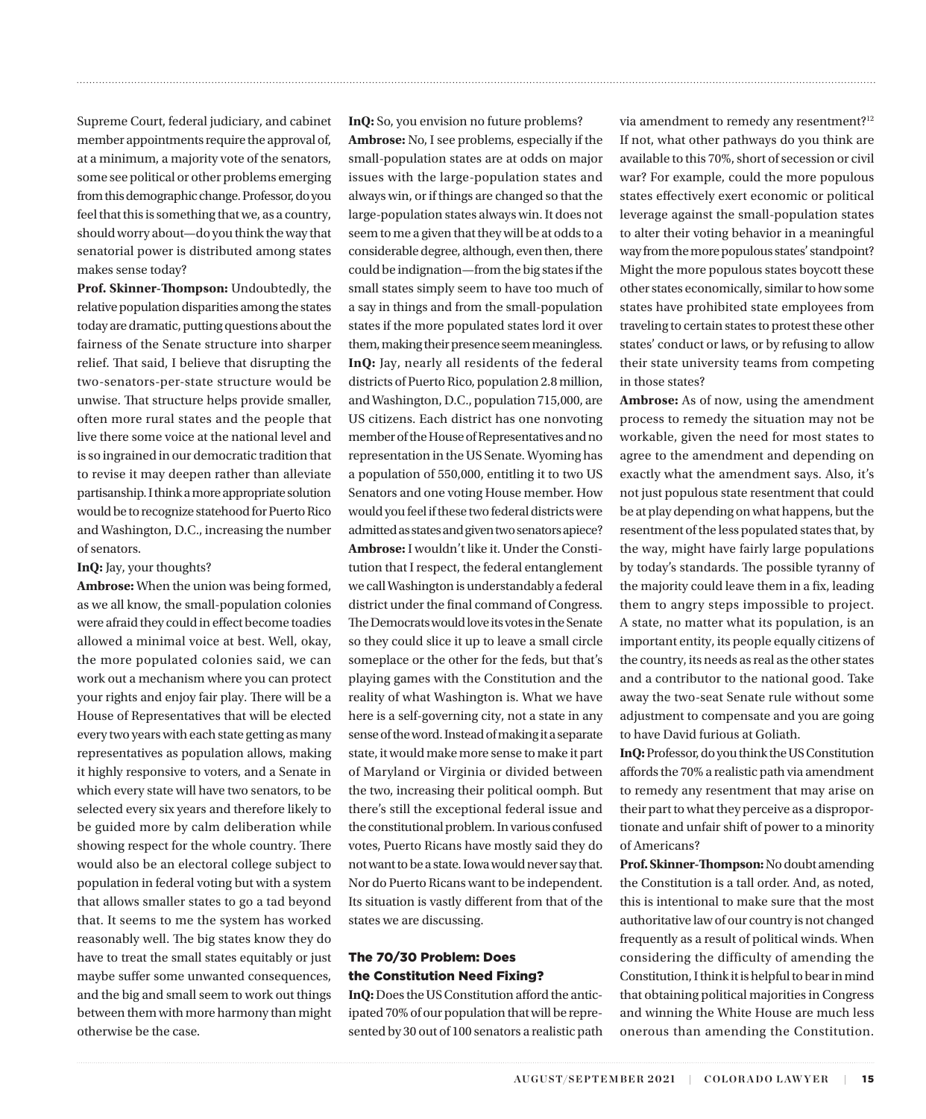Supreme Court, federal judiciary, and cabinet member appointments require the approval of, at a minimum, a majority vote of the senators, some see political or other problems emerging from this demographic change. Professor, do you feel that this is something that we, as a country, should worry about—do you think the way that senatorial power is distributed among states makes sense today?

**Prof. Skinner-Thompson:** Undoubtedly, the relative population disparities among the states today are dramatic, putting questions about the fairness of the Senate structure into sharper relief. That said, I believe that disrupting the two-senators-per-state structure would be unwise. That structure helps provide smaller, often more rural states and the people that live there some voice at the national level and is so ingrained in our democratic tradition that to revise it may deepen rather than alleviate partisanship. I think a more appropriate solution would be to recognize statehood for Puerto Rico and Washington, D.C., increasing the number of senators.

#### **InQ:** Jay, your thoughts?

**Ambrose:** When the union was being formed, as we all know, the small-population colonies were afraid they could in effect become toadies allowed a minimal voice at best. Well, okay, the more populated colonies said, we can work out a mechanism where you can protect your rights and enjoy fair play. There will be a House of Representatives that will be elected every two years with each state getting as many representatives as population allows, making it highly responsive to voters, and a Senate in which every state will have two senators, to be selected every six years and therefore likely to be guided more by calm deliberation while showing respect for the whole country. There would also be an electoral college subject to population in federal voting but with a system that allows smaller states to go a tad beyond that. It seems to me the system has worked reasonably well. The big states know they do have to treat the small states equitably or just maybe suffer some unwanted consequences, and the big and small seem to work out things between them with more harmony than might otherwise be the case.

**InQ:** So, you envision no future problems? **Ambrose:** No, I see problems, especially if the small-population states are at odds on major issues with the large-population states and always win, or if things are changed so that the large-population states always win. It does not seem to me a given that they will be at odds to a considerable degree, although, even then, there could be indignation—from the big states if the small states simply seem to have too much of a say in things and from the small-population states if the more populated states lord it over them, making their presence seem meaningless. **InQ:** Jay, nearly all residents of the federal districts of Puerto Rico, population 2.8 million, and Washington, D.C., population 715,000, are US citizens. Each district has one nonvoting member of the House of Representatives and no representation in the US Senate. Wyoming has a population of 550,000, entitling it to two US Senators and one voting House member. How would you feel if these two federal districts were admitted as states and given two senators apiece? **Ambrose:** I wouldn't like it. Under the Constitution that I respect, the federal entanglement we call Washington is understandably a federal district under the final command of Congress. The Democrats would love its votes in the Senate so they could slice it up to leave a small circle someplace or the other for the feds, but that's playing games with the Constitution and the reality of what Washington is. What we have here is a self-governing city, not a state in any sense of the word. Instead of making it a separate state, it would make more sense to make it part of Maryland or Virginia or divided between the two, increasing their political oomph. But there's still the exceptional federal issue and the constitutional problem. In various confused votes, Puerto Ricans have mostly said they do not want to be a state. Iowa would never say that. Nor do Puerto Ricans want to be independent. Its situation is vastly different from that of the states we are discussing.

<span id="page-3-0"></span>

#### The 70/30 Problem: Does the Constitution Need Fixing?

InQ: Does the US Constitution afford the anticipated 70% of our population that will be represented by 30 out of 100 senators a realistic path

via amendment to remedy any resentment?<sup>[12](#page-4-0)</sup> If not, what other pathways do you think are available to this 70%, short of secession or civil war? For example, could the more populous states effectively exert economic or political leverage against the small-population states to alter their voting behavior in a meaningful way from the more populous states' standpoint? Might the more populous states boycott these other states economically, similar to how some states have prohibited state employees from traveling to certain states to protest these other states' conduct or laws, or by refusing to allow their state university teams from competing in those states?

**Ambrose:** As of now, using the amendment process to remedy the situation may not be workable, given the need for most states to agree to the amendment and depending on exactly what the amendment says. Also, it's not just populous state resentment that could be at play depending on what happens, but the resentment of the less populated states that, by the way, might have fairly large populations by today's standards. The possible tyranny of the majority could leave them in a fix, leading them to angry steps impossible to project. A state, no matter what its population, is an important entity, its people equally citizens of the country, its needs as real as the other states and a contributor to the national good. Take away the two-seat Senate rule without some adjustment to compensate and you are going to have David furious at Goliath.

InQ: Professor, do you think the US Constitution affords the 70% a realistic path via amendment to remedy any resentment that may arise on their part to what they perceive as a disproportionate and unfair shift of power to a minority of Americans?

**Prof. Skinner-Thompson:** No doubt amending the Constitution is a tall order. And, as noted, this is intentional to make sure that the most authoritative law of our country is not changed frequently as a result of political winds. When considering the difficulty of amending the Constitution, I think it is helpful to bear in mind that obtaining political majorities in Congress and winning the White House are much less onerous than amending the Constitution.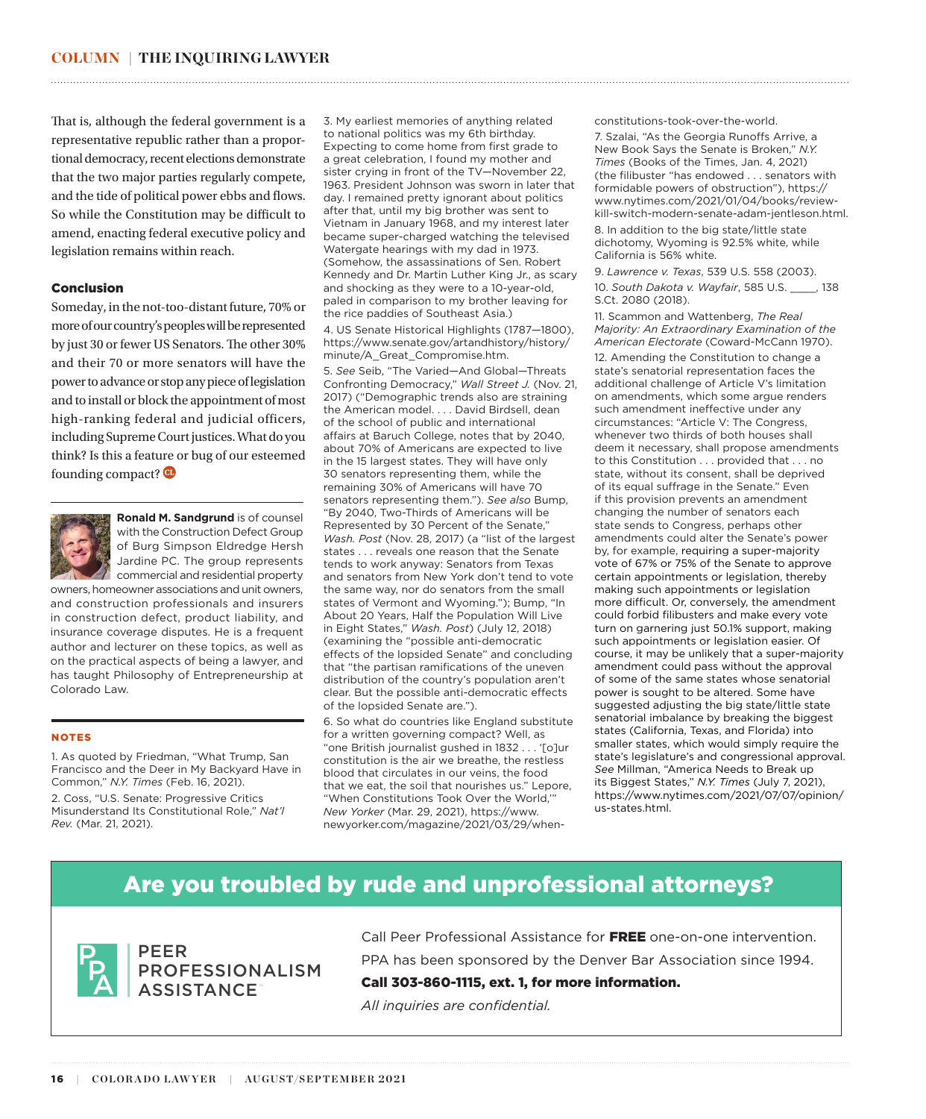That is, although the federal government is a representative republic rather than a proportional democracy, recent elections demonstrate that the two major parties regularly compete, and the tide of political power ebbs and flows. So while the Constitution may be difficult to amend, enacting federal executive policy and legislation remains within reach.

#### Conclusion

Someday, in the not-too-distant future, 70% or more of our country's peoples will be represented by just 30 or fewer US Senators. The other 30% and their 70 or more senators will have the power to advance or stop any piece of legislation and to install or block the appointment of most high-ranking federal and judicial officers, including Supreme Court justices. What do you think? Is this a feature or bug of our esteemed founding compact?



**Ronald M. Sandgrund** is of counsel with the Construction Defect Group of Burg Simpson Eldredge Hersh Jardine PC. The group represents commercial and residential property

owners, homeowner associations and unit owners, and construction professionals and insurers in construction defect, product liability, and insurance coverage disputes. He is a frequent author and lecturer on these topics, as well as on the practical aspects of being a lawyer, and has taught Philosophy of Entrepreneurship at Colorado Law.

#### NOTES

[1.](#page-0-0) As quoted by Friedman, "What Trump, San Francisco and the Deer in My Backyard Have in Common," *N.Y. Times* (Feb. 16, 2021).

[2](#page-0-0). Coss, "U.S. Senate: Progressive Critics Misunderstand Its Constitutional Role," *Nat'l Rev.* (Mar. 21, 2021).

[3](#page-0-0). My earliest memories of anything related to national politics was my 6th birthday. Expecting to come home from first grade to a great celebration, I found my mother and sister crying in front of the TV—November 22, 1963. President Johnson was sworn in later that day. I remained pretty ignorant about politics after that, until my big brother was sent to Vietnam in January 1968, and my interest later became super-charged watching the televised Watergate hearings with my dad in 1973. (Somehow, the assassinations of Sen. Robert Kennedy and Dr. Martin Luther King Jr., as scary and shocking as they were to a 10-year-old, paled in comparison to my brother leaving for the rice paddies of Southeast Asia.)

<span id="page-4-0"></span>

[4.](#page-0-0) US Senate Historical Highlights (1787—1800), https://www.senate.gov/artandhistory/history/ minute/A\_Great\_Compromise.htm.

[5](#page-0-0). *See* Seib, "The Varied—And Global—Threats Confronting Democracy," *Wall Street J.* (Nov. 21, 2017) ("Demographic trends also are straining the American model. . . . David Birdsell, dean of the school of public and international affairs at Baruch College, notes that by 2040, about 70% of Americans are expected to live in the 15 largest states. They will have only 30 senators representing them, while the remaining 30% of Americans will have 70 senators representing them."). *See also* Bump, "By 2040, Two-Thirds of Americans will be Represented by 30 Percent of the Senate," *Wash. Post* (Nov. 28, 2017) (a "list of the largest states . . . reveals one reason that the Senate tends to work anyway: Senators from Texas and senators from New York don't tend to vote the same way, nor do senators from the small states of Vermont and Wyoming."); Bump, "In About 20 Years, Half the Population Will Live in Eight States," *Wash. Post*) (July 12, 2018) (examining the "possible anti-democratic effects of the lopsided Senate" and concluding that "the partisan ramifications of the uneven distribution of the country's population aren't clear. But the possible anti-democratic effects of the lopsided Senate are.").

[6](#page-1-0). So what do countries like England substitute for a written governing compact? Well, as "one British journalist gushed in 1832 . . . '[o]ur constitution is the air we breathe, the restless blood that circulates in our veins, the food that we eat, the soil that nourishes us." Lepore, "When Constitutions Took Over the World,'" *New Yorker* (Mar. 29, 2021), https://www. newyorker.com/magazine/2021/03/29/whenconstitutions-took-over-the-world.

[7.](#page-1-0) Szalai, "As the Georgia Runoffs Arrive, a New Book Says the Senate is Broken," *N.Y. Times* (Books of the Times, Jan. 4, 2021) (the filibuster "has endowed . . . senators with formidable powers of obstruction"), https:// www.nytimes.com/2021/01/04/books/reviewkill-switch-modern-senate-adam-jentleson.html.

[8.](#page-1-0) In addition to the big state/little state dichotomy, Wyoming is 92.5% white, while California is 56% white.

[9](#page-1-0). *Lawrence v. Texas*, 539 U.S. 558 (2003). [10](#page-1-0). *South Dakota v. Wayfair*, 585 U.S. \_\_\_\_, 138 S.Ct. 2080 (2018).

[11.](#page-2-0) Scammon and Wattenberg, *The Real Majority: An Extraordinary Examination of the American Electorate* (Coward-McCann 1970).

[12](#page-3-0). Amending the Constitution to change a state's senatorial representation faces the additional challenge of Article V's limitation on amendments, which some argue renders such amendment ineffective under any circumstances: "Article V: The Congress, whenever two thirds of both houses shall deem it necessary, shall propose amendments to this Constitution . . . provided that . . . no state, without its consent, shall be deprived of its equal suffrage in the Senate." Even if this provision prevents an amendment changing the number of senators each state sends to Congress, perhaps other amendments could alter the Senate's power by, for example, requiring a super-majority vote of 67% or 75% of the Senate to approve certain appointments or legislation, thereby making such appointments or legislation more difficult. Or, conversely, the amendment could forbid filibusters and make every vote turn on garnering just 50.1% support, making such appointments or legislation easier. Of course, it may be unlikely that a super-majority amendment could pass without the approval of some of the same states whose senatorial power is sought to be altered. Some have suggested adjusting the big state/little state senatorial imbalance by breaking the biggest states (California, Texas, and Florida) into smaller states, which would simply require the state's legislature's and congressional approval. *See* Millman, "America Needs to Break up its Biggest States," *N.Y. Times* (July 7, 2021), https://www.nytimes.com/2021/07/07/opinion/ us-states.html.

### Are you troubled by rude and unprofessional attorneys?



PEER PROFESSIONALISM ASSISTANCE

Call Peer Professional Assistance for FREE one-on-one intervention. PPA has been sponsored by the Denver Bar Association since 1994. Call 303-860-1115, ext. 1, for more information.

*All inquiries are confidential.*